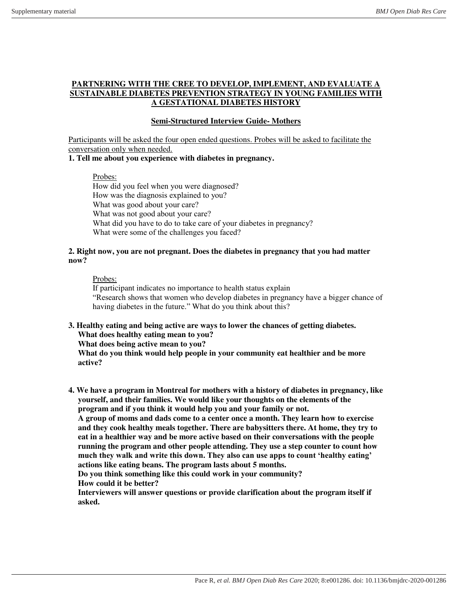### **PARTNERING WITH THE CREE TO DEVELOP, IMPLEMENT, AND EVALUATE A SUSTAINABLE DIABETES PREVENTION STRATEGY IN YOUNG FAMILIES WITH A GESTATIONAL DIABETES HISTORY**

# **Semi-Structured Interview Guide- Mothers**

Participants will be asked the four open ended questions. Probes will be asked to facilitate the conversation only when needed.

## **1. Tell me about you experience with diabetes in pregnancy.**

Probes:

How did you feel when you were diagnosed? How was the diagnosis explained to you? What was good about your care? What was not good about your care? What did you have to do to take care of your diabetes in pregnancy? What were some of the challenges you faced?

#### **2. Right now, you are not pregnant. Does the diabetes in pregnancy that you had matter now?**

#### Probes:

If participant indicates no importance to health status explain "Research shows that women who develop diabetes in pregnancy have a bigger chance of having diabetes in the future." What do you think about this?

**3. Healthy eating and being active are ways to lower the chances of getting diabetes.** 

# **What does healthy eating mean to you?**

**What does being active mean to you?** 

**What do you think would help people in your community eat healthier and be more active?** 

**4. We have a program in Montreal for mothers with a history of diabetes in pregnancy, like yourself, and their families. We would like your thoughts on the elements of the program and if you think it would help you and your family or not.** 

**A group of moms and dads come to a center once a month. They learn how to exercise and they cook healthy meals together. There are babysitters there. At home, they try to eat in a healthier way and be more active based on their conversations with the people running the program and other people attending. They use a step counter to count how much they walk and write this down. They also can use apps to count 'healthy eating' actions like eating beans. The program lasts about 5 months.** 

**Do you think something like this could work in your community?** 

**How could it be better?** 

**Interviewers will answer questions or provide clarification about the program itself if asked.**